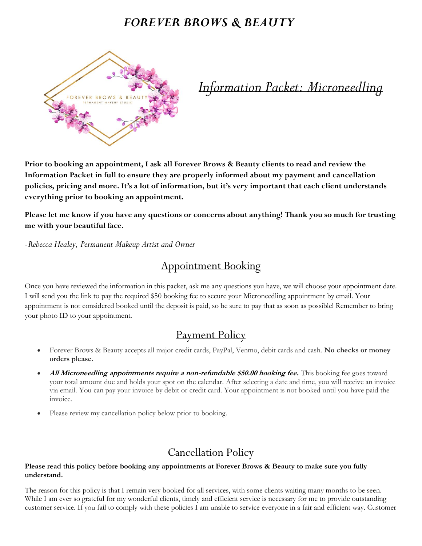# *FOREVER BROWS & BEAUTY*



*Information Packet: Microneedling*

**Prior to booking an appointment, I ask all Forever Brows & Beauty clients to read and review the Information Packet in full to ensure they are properly informed about my payment and cancellation policies, pricing and more. It's a lot of information, but it's very important that each client understands everything prior to booking an appointment.** 

**Please let me know if you have any questions or concerns about anything! Thank you so much for trusting me with your beautiful face.**

*-Rebecca Healey, Permanent Makeup Artist and Owner*

# Appointment Booking

Once you have reviewed the information in this packet, ask me any questions you have, we will choose your appointment date. I will send you the link to pay the required \$50 booking fee to secure your Microneedling appointment by email. Your appointment is not considered booked until the deposit is paid, so be sure to pay that as soon as possible! Remember to bring your photo ID to your appointment.

## Payment Policy

- Forever Brows & Beauty accepts all major credit cards, PayPal, Venmo, debit cards and cash. **No checks or money orders please.**
- **All Microneedling appointments require a non-refundable \$50.00 booking fee.** This booking fee goes toward your total amount due and holds your spot on the calendar. After selecting a date and time, you will receive an invoice via email. You can pay your invoice by debit or credit card. Your appointment is not booked until you have paid the invoice.
- Please review my cancellation policy below prior to booking.

# Cancellation Policy

### **Please read this policy before booking any appointments at Forever Brows & Beauty to make sure you fully understand.**

The reason for this policy is that I remain very booked for all services, with some clients waiting many months to be seen. While I am ever so grateful for my wonderful clients, timely and efficient service is necessary for me to provide outstanding customer service. If you fail to comply with these policies I am unable to service everyone in a fair and efficient way. Customer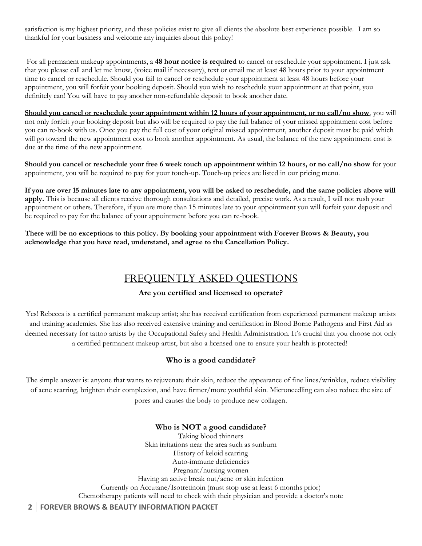satisfaction is my highest priority, and these policies exist to give all clients the absolute best experience possible. I am so thankful for your business and welcome any inquiries about this policy!

For all permanent makeup appointments, a **48 hour notice is required** to cancel or reschedule your appointment. I just ask that you please call and let me know, (voice mail if necessary), text or email me at least 48 hours prior to your appointment time to cancel or reschedule. Should you fail to cancel or reschedule your appointment at least 48 hours before your appointment, you will forfeit your booking deposit. Should you wish to reschedule your appointment at that point, you definitely can! You will have to pay another non-refundable deposit to book another date.

**Should you cancel or reschedule your appointment within 12 hours of your appointment, or no call/no show**, you will not only forfeit your booking deposit but also will be required to pay the full balance of your missed appointment cost before you can re-book with us. Once you pay the full cost of your original missed appointment, another deposit must be paid which will go toward the new appointment cost to book another appointment. As usual, the balance of the new appointment cost is due at the time of the new appointment.

**Should you cancel or reschedule your free 6 week touch up appointment within 12 hours, or no call/no show** for your appointment, you will be required to pay for your touch-up. Touch-up prices are listed in our pricing menu.

**If you are over 15 minutes late to any appointment, you will be asked to reschedule, and the same policies above will apply.** This is because all clients receive thorough consultations and detailed, precise work. As a result, I will not rush your appointment or others. Therefore, if you are more than 15 minutes late to your appointment you will forfeit your deposit and be required to pay for the balance of your appointment before you can re-book.

**There will be no exceptions to this policy. By booking your appointment with Forever Brows & Beauty, you acknowledge that you have read, understand, and agree to the Cancellation Policy.**

## FREQUENTLY ASKED QUESTIONS

### **Are you certified and licensed to operate?**

Yes! Rebecca is a certified permanent makeup artist; she has received certification from experienced permanent makeup artists and training academies. She has also received extensive training and certification in Blood Borne Pathogens and First Aid as deemed necessary for tattoo artists by the Occupational Safety and Health Administration. It's crucial that you choose not only a certified permanent makeup artist, but also a licensed one to ensure your health is protected!

### **Who is a good candidate?**

The simple answer is: anyone that wants to rejuvenate their skin, reduce the appearance of fine lines/wrinkles, reduce visibility of acne scarring, brighten their complexion, and have firmer/more youthful skin. Microneedling can also reduce the size of pores and causes the body to produce new collagen.

### **Who is NOT a good candidate?**

Taking blood thinners Skin irritations near the area such as sunburn History of keloid scarring Auto-immune deficiencies Pregnant/nursing women Having an active break out/acne or skin infection Currently on Accutane/Isotretinoin (must stop use at least 6 months prior) Chemotherapy patients will need to check with their physician and provide a doctor's note

### **2 FOREVER BROWS & BEAUTY INFORMATION PACKET**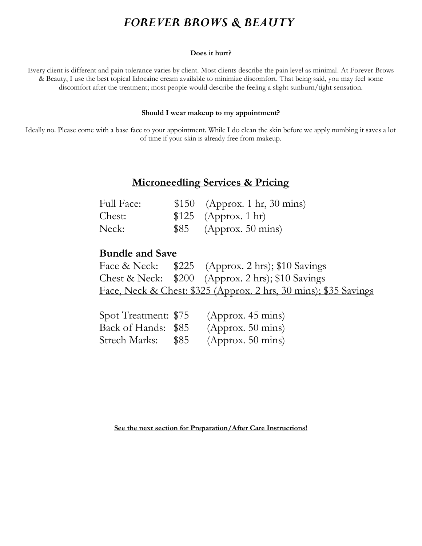# *FOREVER BROWS & BEAUTY*

#### **Does it hurt?**

Every client is different and pain tolerance varies by client. Most clients describe the pain level as minimal. At Forever Brows & Beauty, I use the best topical lidocaine cream available to minimize discomfort. That being said, you may feel some discomfort after the treatment; most people would describe the feeling a slight sunburn/tight sensation.

#### **Should I wear makeup to my appointment?**

Ideally no. Please come with a base face to your appointment. While I do clean the skin before we apply numbing it saves a lot of time if your skin is already free from makeup.

## **Microneedling Services & Pricing**

| <b>Full Face:</b> | $$150$ (Approx. 1 hr, 30 mins) |
|-------------------|--------------------------------|
| Chest:            | $$125$ (Approx. 1 hr)          |
| Neck:             | $$85$ (Approx. 50 mins)        |

## **Bundle and Save**

|  | Face & Neck: $$225$ (Approx. 2 hrs); \$10 Savings                |
|--|------------------------------------------------------------------|
|  | Chest & Neck: $$200$ (Approx. 2 hrs); \$10 Savings               |
|  | Face, Neck & Chest: \$325 (Approx. 2 hrs, 30 mins); \$35 Savings |

| Spot Treatment: \$75 |      | (Approx. 45 mins) |
|----------------------|------|-------------------|
| Back of Hands: \$85  |      | (Approx. 50 mins) |
| Strech Marks:        | \$85 | (Approx. 50 mins) |

**See the next section for Preparation/After Care Instructions!**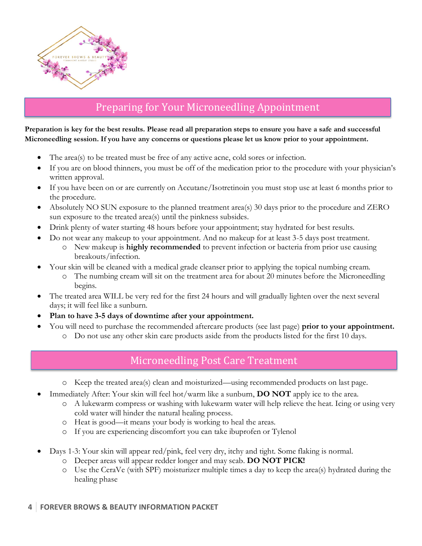

# Preparing for Your Microneedling Appointment

**Preparation is key for the best results. Please read all preparation steps to ensure you have a safe and successful Microneedling session. If you have any concerns or questions please let us know prior to your appointment.**

- The area(s) to be treated must be free of any active acne, cold sores or infection.
- If you are on blood thinners, you must be off of the medication prior to the procedure with your physician's written approval.
- If you have been on or are currently on Accutane/Isotretinoin you must stop use at least 6 months prior to the procedure.
- Absolutely NO SUN exposure to the planned treatment area(s) 30 days prior to the procedure and ZERO sun exposure to the treated area(s) until the pinkness subsides.
- Drink plenty of water starting 48 hours before your appointment; stay hydrated for best results.
- Do not wear any makeup to your appointment. And no makeup for at least 3-5 days post treatment.
	- o New makeup is **highly recommended** to prevent infection or bacteria from prior use causing breakouts/infection.
- Your skin will be cleaned with a medical grade cleanser prior to applying the topical numbing cream.
	- o The numbing cream will sit on the treatment area for about 20 minutes before the Microneedling begins.
- The treated area WILL be very red for the first 24 hours and will gradually lighten over the next several days; it will feel like a sunburn.
- **Plan to have 3-5 days of downtime after your appointment.**
	- You will need to purchase the recommended aftercare products (see last page) **prior to your appointment.**
		- o Do not use any other skin care products aside from the products listed for the first 10 days.

## Microneedling Post Care Treatment

- o Keep the treated area(s) clean and moisturized—using recommended products on last page.
- Immediately After: Your skin will feel hot/warm like a sunburn, **DO NOT** apply ice to the area.
	- o A lukewarm compress or washing with lukewarm water will help relieve the heat. Icing or using very cold water will hinder the natural healing process.
	- o Heat is good—it means your body is working to heal the areas.
	- o If you are experiencing discomfort you can take ibuprofen or Tylenol
- Days 1-3: Your skin will appear red/pink, feel very dry, itchy and tight. Some flaking is normal.
	- o Deeper areas will appear redder longer and may scab. **DO NOT PICK!**
	- o Use the CeraVe (with SPF) moisturizer multiple times a day to keep the area(s) hydrated during the healing phase

### **4 FOREVER BROWS & BEAUTY INFORMATION PACKET**